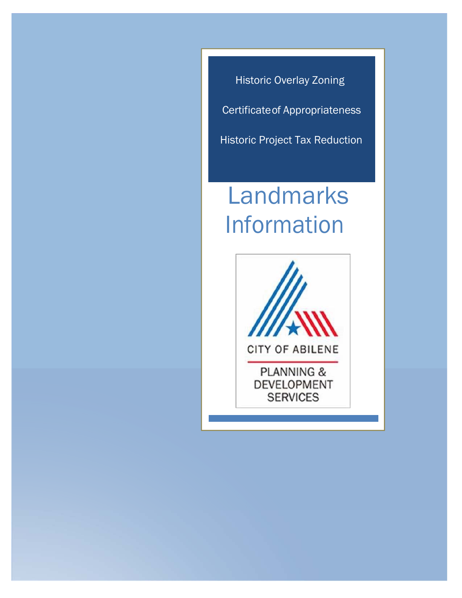Historic Overlay Zoning Certificateof Appropriateness

Historic Project Tax Reduction

# Landmarks Information

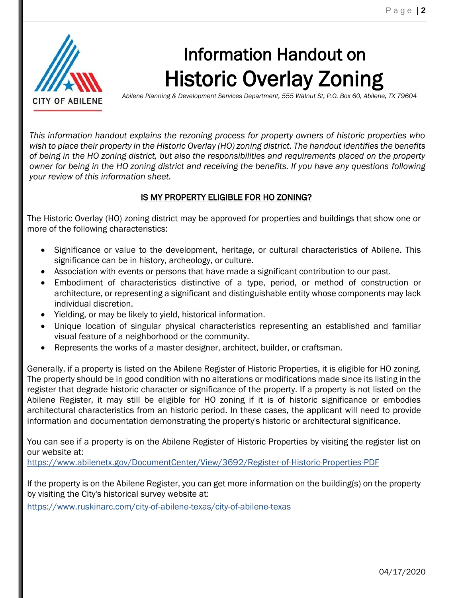

# Information Handout on Historic Overlay Zoning

*Abilene Planning & Development Services Department, 555 Walnut St, P.O. Box 60, Abilene, TX 79604*

*This information handout explains the rezoning process for property owners of historic properties who wish to place their property in the Historic Overlay (HO) zoning district. The handout identifies the benefits of being in the HO zoning district, but also the responsibilities and requirements placed on the property owner for being in the HO zoning district and receiving the benefits. If you have any questions following your review of this information sheet.*

# IS MY PROPERTY ELIGIBLE FOR HO ZONING?

The Historic Overlay (HO) zoning district may be approved for properties and buildings that show one or more of the following characteristics:

- Significance or value to the development, heritage, or cultural characteristics of Abilene. This significance can be in history, archeology, or culture.
- Association with events or persons that have made a significant contribution to our past.
- Embodiment of characteristics distinctive of a type, period, or method of construction or architecture, or representing a significant and distinguishable entity whose components may lack individual discretion.
- Yielding, or may be likely to yield, historical information.
- Unique location of singular physical characteristics representing an established and familiar visual feature of a neighborhood or the community.
- Represents the works of a master designer, architect, builder, or craftsman.

Generally, if a property is listed on the Abilene Register of Historic Properties, it is eligible for HO zoning. The property should be in good condition with no alterations or modifications made since its listing in the register that degrade historic character or significance of the property. If a property is not listed on the Abilene Register, it may still be eligible for HO zoning if it is of historic significance or embodies architectural characteristics from an historic period. In these cases, the applicant will need to provide information and documentation demonstrating the property's historic or architectural significance.

You can see if a property is on the Abilene Register of Historic Properties by visiting the register list on our website at:

<https://www.abilenetx.gov/DocumentCenter/View/3692/Register-of-Historic-Properties-PDF>

If the property is on the Abilene Register, you can get more information on the building(s) on the property by visiting the City's historical survey website at:

<https://www.ruskinarc.com/city-of-abilene-texas/city-of-abilene-texas>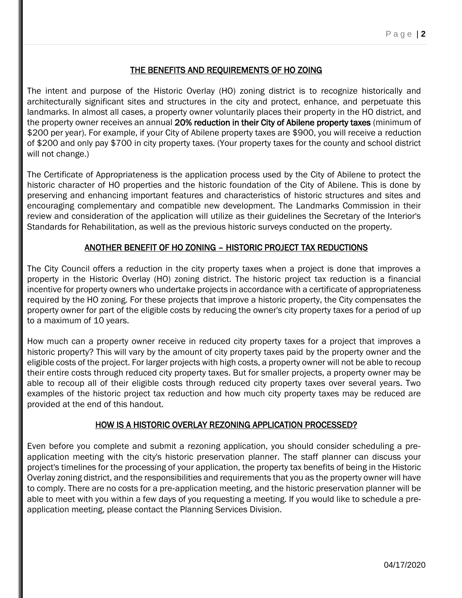# THE BENEFITS AND REQUIREMENTS OF HO ZOING

The intent and purpose of the Historic Overlay (HO) zoning district is to recognize historically and architecturally significant sites and structures in the city and protect, enhance, and perpetuate this landmarks. In almost all cases, a property owner voluntarily places their property in the HO district, and the property owner receives an annual 20% reduction in their City of Abilene property taxes (minimum of \$200 per year). For example, if your City of Abilene property taxes are \$900, you will receive a reduction of \$200 and only pay \$700 in city property taxes. (Your property taxes for the county and school district will not change.)

The Certificate of Appropriateness is the application process used by the City of Abilene to protect the historic character of HO properties and the historic foundation of the City of Abilene. This is done by preserving and enhancing important features and characteristics of historic structures and sites and encouraging complementary and compatible new development. The Landmarks Commission in their review and consideration of the application will utilize as their guidelines the Secretary of the Interior's Standards for Rehabilitation, as well as the previous historic surveys conducted on the property.

#### ANOTHER BENEFIT OF HO ZONING – HISTORIC PROJECT TAX REDUCTIONS

The City Council offers a reduction in the city property taxes when a project is done that improves a property in the Historic Overlay (HO) zoning district. The historic project tax reduction is a financial incentive for property owners who undertake projects in accordance with a certificate of appropriateness required by the HO zoning. For these projects that improve a historic property, the City compensates the property owner for part of the eligible costs by reducing the owner's city property taxes for a period of up to a maximum of 10 years.

How much can a property owner receive in reduced city property taxes for a project that improves a historic property? This will vary by the amount of city property taxes paid by the property owner and the eligible costs of the project. For larger projects with high costs, a property owner will not be able to recoup their entire costs through reduced city property taxes. But for smaller projects, a property owner may be able to recoup all of their eligible costs through reduced city property taxes over several years. Two examples of the historic project tax reduction and how much city property taxes may be reduced are provided at the end of this handout.

#### HOW IS A HISTORIC OVERLAY REZONING APPLICATION PROCESSED?

Even before you complete and submit a rezoning application, you should consider scheduling a pre‐ application meeting with the city's historic preservation planner. The staff planner can discuss your project's timelines for the processing of your application, the property tax benefits of being in the Historic Overlay zoning district, and the responsibilities and requirements that you as the property owner will have to comply. There are no costs for a pre‐application meeting, and the historic preservation planner will be able to meet with you within a few days of you requesting a meeting. If you would like to schedule a pre‐ application meeting, please contact the Planning Services Division.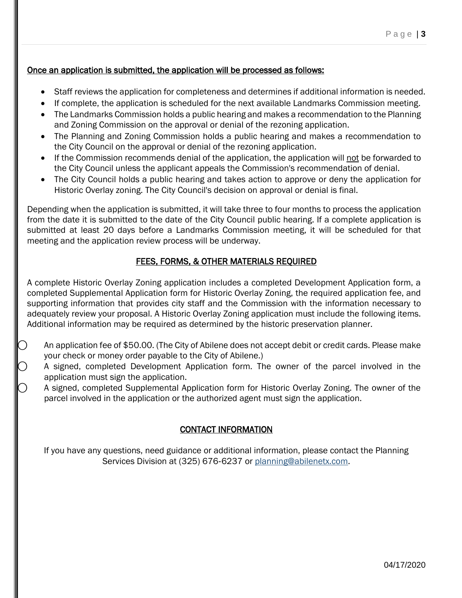# Once an application is submitted, the application will be processed as follows:

- Staff reviews the application for completeness and determines if additional information is needed.
- If complete, the application is scheduled for the next available Landmarks Commission meeting.
- The Landmarks Commission holds a public hearing and makes a recommendation to the Planning and Zoning Commission on the approval or denial of the rezoning application.
- The Planning and Zoning Commission holds a public hearing and makes a recommendation to the City Council on the approval or denial of the rezoning application.
- If the Commission recommends denial of the application, the application will not be forwarded to the City Council unless the applicant appeals the Commission's recommendation of denial.
- The City Council holds a public hearing and takes action to approve or deny the application for Historic Overlay zoning. The City Council's decision on approval or denial is final.

Depending when the application is submitted, it will take three to four months to process the application from the date it is submitted to the date of the City Council public hearing. If a complete application is submitted at least 20 days before a Landmarks Commission meeting, it will be scheduled for that meeting and the application review process will be underway.

### FEES, FORMS, & OTHER MATERIALS REQUIRED

A complete Historic Overlay Zoning application includes a completed Development Application form, a completed Supplemental Application form for Historic Overlay Zoning, the required application fee, and supporting information that provides city staff and the Commission with the information necessary to adequately review your proposal. A Historic Overlay Zoning application must include the following items. Additional information may be required as determined by the historic preservation planner.

- An application fee of \$50.00. (The City of Abilene does not accept debit or credit cards. Please make your check or money order payable to the City of Abilene.)
- A signed, completed Development Application form. The owner of the parcel involved in the application must sign the application.
- ⃝ A signed, completed Supplemental Application form for Historic Overlay Zoning. The owner of the parcel involved in the application or the authorized agent must sign the application.

### CONTACT INFORMATION

If you have any questions, need guidance or additional information, please contact the Planning Services Division at (325) 676‐6237 or [planning@abilenetx.com.](mailto:planning@abilenetx.com)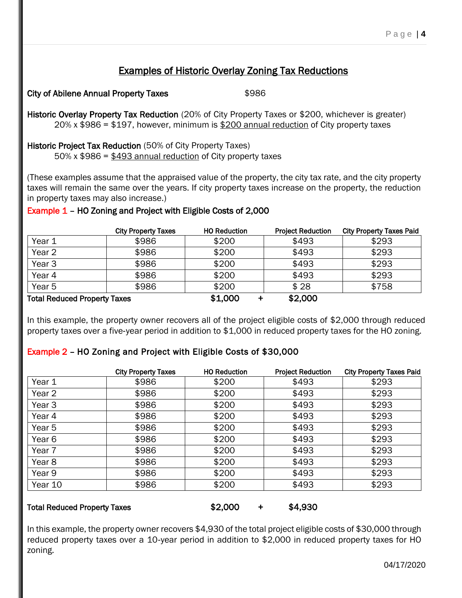# Examples of Historic Overlay Zoning Tax Reductions

City of Abilene Annual Property Taxes \$986

Historic Overlay Property Tax Reduction (20% of City Property Taxes or \$200, whichever is greater) 20% x \$986 = \$197, however, minimum is \$200 annual reduction of City property taxes

Historic Project Tax Reduction (50% of City Property Taxes) 50% x  $$986 = $493$  annual reduction of City property taxes

(These examples assume that the appraised value of the property, the city tax rate, and the city property taxes will remain the same over the years. If city property taxes increase on the property, the reduction in property taxes may also increase.)

# Example 1 – HO Zoning and Project with Eligible Costs of 2,000

|                                     | <b>City Property Taxes</b> | <b>HO Reduction</b> | <b>Project Reduction</b> | <b>City Property Taxes Paid</b> |
|-------------------------------------|----------------------------|---------------------|--------------------------|---------------------------------|
| Year 1                              | \$986                      | \$200               | \$493                    | \$293                           |
| Year 2                              | \$986                      | \$200               | \$493                    | \$293                           |
| Year <sub>3</sub>                   | \$986                      | \$200               | \$493                    | \$293                           |
| Year 4                              | \$986                      | \$200               | \$493                    | \$293                           |
| Year 5                              | \$986                      | \$200               | \$28                     | \$758                           |
| <b>Total Reduced Property Taxes</b> |                            | \$1,000             | \$2,000                  |                                 |

In this example, the property owner recovers all of the project eligible costs of \$2,000 through reduced property taxes over a five-year period in addition to \$1,000 in reduced property taxes for the HO zoning.

# Example 2 – HO Zoning and Project with Eligible Costs of \$30,000

|                   | <b>City Property Taxes</b> | <b>HO Reduction</b> | <b>Project Reduction</b> | <b>City Property Taxes Paid</b> |
|-------------------|----------------------------|---------------------|--------------------------|---------------------------------|
| Year 1            | \$986                      | \$200               | \$493                    | \$293                           |
| Year 2            | \$986                      | \$200               | \$493                    | \$293                           |
| Year <sub>3</sub> | \$986                      | \$200               | \$493                    | \$293                           |
| Year 4            | \$986                      | \$200               | \$493                    | \$293                           |
| Year 5            | \$986                      | \$200               | \$493                    | \$293                           |
| Year <sub>6</sub> | \$986                      | \$200               | \$493                    | \$293                           |
| Year 7            | \$986                      | \$200               | \$493                    | \$293                           |
| Year <sub>8</sub> | \$986                      | \$200               | \$493                    | \$293                           |
| Year 9            | \$986                      | \$200               | \$493                    | \$293                           |
| Year 10           | \$986                      | \$200               | \$493                    | \$293                           |
|                   |                            |                     |                          |                                 |

#### Total Reduced Property Taxes  $$2,000$  + \$4,930

In this example, the property owner recovers \$4,930 of the total project eligible costs of \$30,000 through reduced property taxes over a 10‐year period in addition to \$2,000 in reduced property taxes for HO zoning.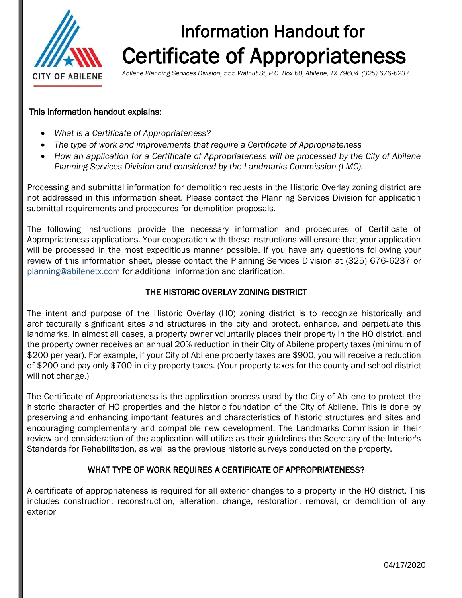

# Information Handout for Certificate of Appropriateness

*Abilene Planning Services Division, 555 Walnut St, P.O. Box 60, Abilene, TX 79604 (325) 676*‐*6237*

#### This information handout explains:

- *What is a Certificate of Appropriateness?*
- *The type of work and improvements that require a Certificate of Appropriateness*
- *How an application for a Certificate of Appropriateness will be processed by the City of Abilene Planning Services Division and considered by the Landmarks Commission (LMC).*

Processing and submittal information for demolition requests in the Historic Overlay zoning district are not addressed in this information sheet. Please contact the Planning Services Division for application submittal requirements and procedures for demolition proposals.

The following instructions provide the necessary information and procedures of Certificate of Appropriateness applications. Your cooperation with these instructions will ensure that your application will be processed in the most expeditious manner possible. If you have any questions following your review of this information sheet, please contact the Planning Services Division at (325) 676‐6237 or [planning@abilenetx.com](mailto:planning@abilenetx.com) for additional information and clarification.

### THE HISTORIC OVERLAY ZONING DISTRICT

The intent and purpose of the Historic Overlay (HO) zoning district is to recognize historically and architecturally significant sites and structures in the city and protect, enhance, and perpetuate this landmarks. In almost all cases, a property owner voluntarily places their property in the HO district, and the property owner receives an annual 20% reduction in their City of Abilene property taxes (minimum of \$200 per year). For example, if your City of Abilene property taxes are \$900, you will receive a reduction of \$200 and pay only \$700 in city property taxes. (Your property taxes for the county and school district will not change.)

The Certificate of Appropriateness is the application process used by the City of Abilene to protect the historic character of HO properties and the historic foundation of the City of Abilene. This is done by preserving and enhancing important features and characteristics of historic structures and sites and encouraging complementary and compatible new development. The Landmarks Commission in their review and consideration of the application will utilize as their guidelines the Secretary of the Interior's Standards for Rehabilitation, as well as the previous historic surveys conducted on the property.

### WHAT TYPE OF WORK REQUIRES A CERTIFICATE OF APPROPRIATENESS?

A certificate of appropriateness is required for all exterior changes to a property in the HO district. This includes construction, reconstruction, alteration, change, restoration, removal, or demolition of any exterior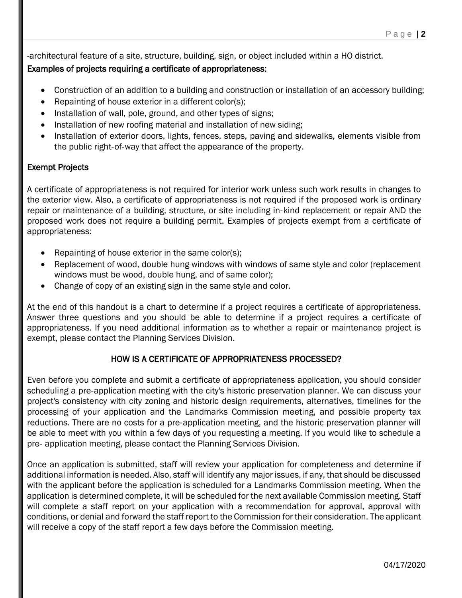-architectural feature of a site, structure, building, sign, or object included within a HO district.

# Examples of projects requiring a certificate of appropriateness:

- Construction of an addition to a building and construction or installation of an accessory building;
- Repainting of house exterior in a different color(s);
- Installation of wall, pole, ground, and other types of signs;
- Installation of new roofing material and installation of new siding;
- Installation of exterior doors, lights, fences, steps, paving and sidewalks, elements visible from the public right‐of‐way that affect the appearance of the property.

# Exempt Projects

A certificate of appropriateness is not required for interior work unless such work results in changes to the exterior view. Also, a certificate of appropriateness is not required if the proposed work is ordinary repair or maintenance of a building, structure, or site including in‐kind replacement or repair AND the proposed work does not require a building permit. Examples of projects exempt from a certificate of appropriateness:

- Repainting of house exterior in the same color(s);
- Replacement of wood, double hung windows with windows of same style and color (replacement windows must be wood, double hung, and of same color);
- Change of copy of an existing sign in the same style and color.

At the end of this handout is a chart to determine if a project requires a certificate of appropriateness. Answer three questions and you should be able to determine if a project requires a certificate of appropriateness. If you need additional information as to whether a repair or maintenance project is exempt, please contact the Planning Services Division.

# HOW IS A CERTIFICATE OF APPROPRIATENESS PROCESSED?

Even before you complete and submit a certificate of appropriateness application, you should consider scheduling a pre‐application meeting with the city's historic preservation planner. We can discuss your project's consistency with city zoning and historic design requirements, alternatives, timelines for the processing of your application and the Landmarks Commission meeting, and possible property tax reductions. There are no costs for a pre‐application meeting, and the historic preservation planner will be able to meet with you within a few days of you requesting a meeting. If you would like to schedule a pre‐ application meeting, please contact the Planning Services Division.

Once an application is submitted, staff will review your application for completeness and determine if additional information is needed. Also, staff will identify any major issues, if any, that should be discussed with the applicant before the application is scheduled for a Landmarks Commission meeting. When the application is determined complete, it will be scheduled for the next available Commission meeting. Staff will complete a staff report on your application with a recommendation for approval, approval with conditions, or denial and forward the staff report to the Commission for their consideration. The applicant will receive a copy of the staff report a few days before the Commission meeting.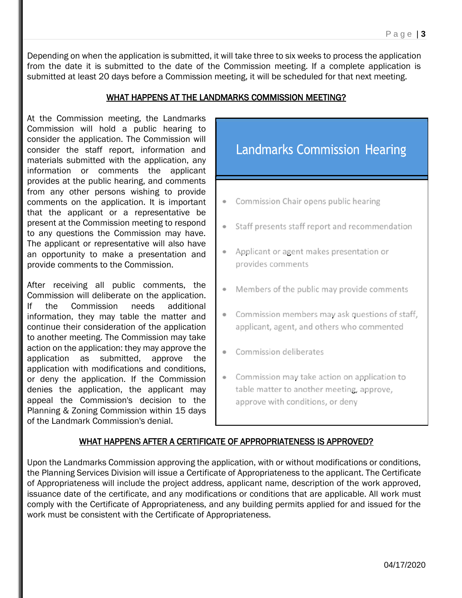Depending on when the application is submitted, it will take three to six weeks to process the application from the date it is submitted to the date of the Commission meeting. If a complete application is submitted at least 20 days before a Commission meeting, it will be scheduled for that next meeting.

# WHAT HAPPENS AT THE LANDMARKS COMMISSION MEETING?

At the Commission meeting, the Landmarks Commission will hold a public hearing to consider the application. The Commission will consider the staff report, information and materials submitted with the application, any information or comments the applicant provides at the public hearing, and comments from any other persons wishing to provide comments on the application. It is important that the applicant or a representative be present at the Commission meeting to respond to any questions the Commission may have. The applicant or representative will also have an opportunity to make a presentation and provide comments to the Commission.

After receiving all public comments, the Commission will deliberate on the application. If the Commission needs additional information, they may table the matter and continue their consideration of the application to another meeting. The Commission may take action on the application: they may approve the application as submitted, approve the application with modifications and conditions, or deny the application. If the Commission denies the application, the applicant may appeal the Commission's decision to the Planning & Zoning Commission within 15 days of the Landmark Commission's denial.



# WHAT HAPPENS AFTER A CERTIFICATE OF APPROPRIATENESS IS APPROVED?

Upon the Landmarks Commission approving the application, with or without modifications or conditions, the Planning Services Division will issue a Certificate of Appropriateness to the applicant. The Certificate of Appropriateness will include the project address, applicant name, description of the work approved, issuance date of the certificate, and any modifications or conditions that are applicable. All work must comply with the Certificate of Appropriateness, and any building permits applied for and issued for the work must be consistent with the Certificate of Appropriateness.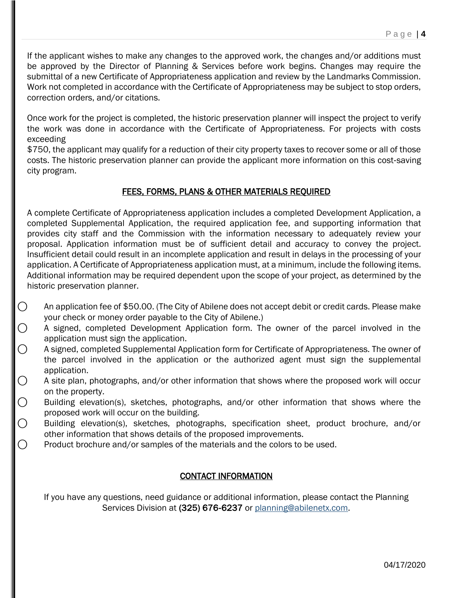If the applicant wishes to make any changes to the approved work, the changes and/or additions must be approved by the Director of Planning & Services before work begins. Changes may require the submittal of a new Certificate of Appropriateness application and review by the Landmarks Commission. Work not completed in accordance with the Certificate of Appropriateness may be subject to stop orders, correction orders, and/or citations.

Once work for the project is completed, the historic preservation planner will inspect the project to verify the work was done in accordance with the Certificate of Appropriateness. For projects with costs exceeding

\$750, the applicant may qualify for a reduction of their city property taxes to recover some or all of those costs. The historic preservation planner can provide the applicant more information on this cost‐saving city program.

# FEES, FORMS, PLANS & OTHER MATERIALS REQUIRED

A complete Certificate of Appropriateness application includes a completed Development Application, a completed Supplemental Application, the required application fee, and supporting information that provides city staff and the Commission with the information necessary to adequately review your proposal. Application information must be of sufficient detail and accuracy to convey the project. Insufficient detail could result in an incomplete application and result in delays in the processing of your application. A Certificate of Appropriateness application must, at a minimum, include the following items. Additional information may be required dependent upon the scope of your project, as determined by the historic preservation planner.

- $\bigcirc$  An application fee of \$50.00. (The City of Abilene does not accept debit or credit cards. Please make your check or money order payable to the City of Abilene.)
- $\bigcirc$  A signed, completed Development Application form. The owner of the parcel involved in the application must sign the application.
- ⃝ A signed, completed Supplemental Application form for Certificate of Appropriateness. The owner of the parcel involved in the application or the authorized agent must sign the supplemental application.
- $\bigcirc$ ⃝ A site plan, photographs, and/or other information that shows where the proposed work will occur on the property.
- ⃝ Building elevation(s), sketches, photographs, and/or other information that shows where the proposed work will occur on the building.
- ⃝ Building elevation(s), sketches, photographs, specification sheet, product brochure, and/or other information that shows details of the proposed improvements.
- $\bigcirc$  Product brochure and/or samples of the materials and the colors to be used.

# CONTACT INFORMATION

If you have any questions, need guidance or additional information, please contact the Planning Services Division at (325) 676‐6237 or [planning@abilenetx.com.](mailto:planning@abilenetx.com)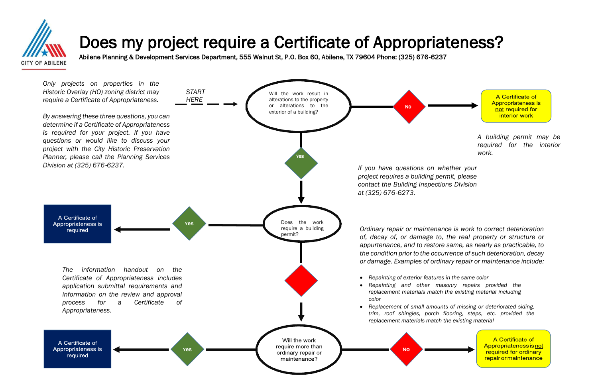

# Does my project require a Certificate of Appropriateness?

Abilene Planning & Development Services Department, 555 Walnut St, P.O. Box 60, Abilene, TX 79604 Phone: (325) 676‐6237

*A building permit may be required for the interior work.*





A Certificate of **Appropriateness is** not required for interior work

*Ordinary repair or maintenance is work to correct deterioration of, decay of, or damage to, the real property or structure or appurtenance, and to restore same, as nearly as practicable, to the condition prior to the occurrence of such deterioration, decay or damage. Examples of ordinary repair or maintenance include:*

• *Repainting and other masonry repairs provided the replacement materials match the existing material including* 

• *Replacement of small amounts of missing or deteriorated siding, trim, roof shingles, porch flooring, steps, etc. provided the* 

> A Certificate of Appropriateness is not required for ordinary repair or maintenance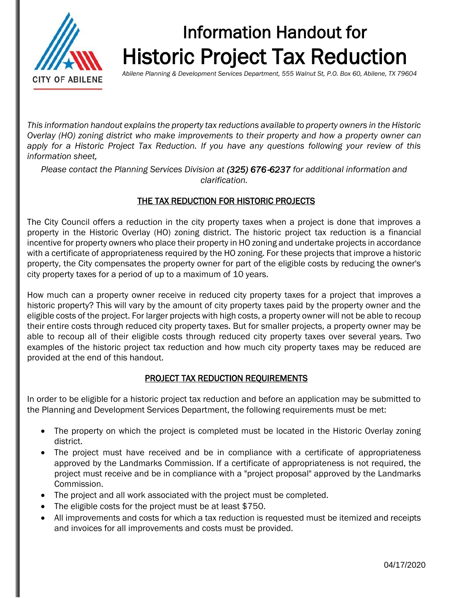

# Information Handout for Historic Project Tax Reduction

*Abilene Planning & Development Services Department, 555 Walnut St, P.O. Box 60, Abilene, TX 79604*

*This information handout explains the property tax reductions available to property owners in the Historic Overlay (HO) zoning district who make improvements to their property and how a property owner can apply for a Historic Project Tax Reduction. If you have any questions following your review of this information sheet,* 

*Please contact the Planning Services Division at (325) 676*‐*6237 for additional information and clarification.*

# THE TAX REDUCTION FOR HISTORIC PROJECTS

The City Council offers a reduction in the city property taxes when a project is done that improves a property in the Historic Overlay (HO) zoning district. The historic project tax reduction is a financial incentive for property owners who place their property in HO zoning and undertake projects in accordance with a certificate of appropriateness required by the HO zoning. For these projects that improve a historic property, the City compensates the property owner for part of the eligible costs by reducing the owner's city property taxes for a period of up to a maximum of 10 years.

How much can a property owner receive in reduced city property taxes for a project that improves a historic property? This will vary by the amount of city property taxes paid by the property owner and the eligible costs of the project. For larger projects with high costs, a property owner will not be able to recoup their entire costs through reduced city property taxes. But for smaller projects, a property owner may be able to recoup all of their eligible costs through reduced city property taxes over several years. Two examples of the historic project tax reduction and how much city property taxes may be reduced are provided at the end of this handout.

### PROJECT TAX REDUCTION REQUIREMENTS

In order to be eligible for a historic project tax reduction and before an application may be submitted to the Planning and Development Services Department, the following requirements must be met:

- The property on which the project is completed must be located in the Historic Overlay zoning district.
- The project must have received and be in compliance with a certificate of appropriateness approved by the Landmarks Commission. If a certificate of appropriateness is not required, the project must receive and be in compliance with a "project proposal" approved by the Landmarks Commission.
- The project and all work associated with the project must be completed.
- The eligible costs for the project must be at least \$750.
- All improvements and costs for which a tax reduction is requested must be itemized and receipts and invoices for all improvements and costs must be provided.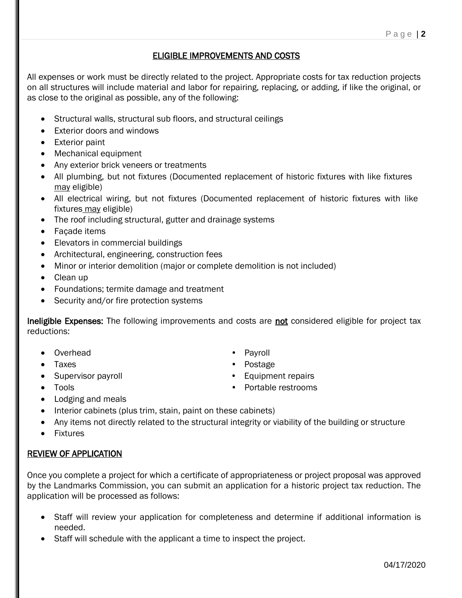### ELIGIBLE IMPROVEMENTS AND COSTS

All expenses or work must be directly related to the project. Appropriate costs for tax reduction projects on all structures will include material and labor for repairing, replacing, or adding, if like the original, or as close to the original as possible, any of the following:

- Structural walls, structural sub floors, and structural ceilings
- Exterior doors and windows
- Exterior paint
- Mechanical equipment
- Any exterior brick veneers or treatments
- All plumbing, but not fixtures (Documented replacement of historic fixtures with like fixtures may eligible)
- All electrical wiring, but not fixtures (Documented replacement of historic fixtures with like fixtures may eligible)
- The roof including structural, gutter and drainage systems
- Façade items
- Elevators in commercial buildings
- Architectural, engineering, construction fees
- Minor or interior demolition (major or complete demolition is not included)
- Clean up
- Foundations; termite damage and treatment
- Security and/or fire protection systems

Ineligible Expenses: The following improvements and costs are not considered eligible for project tax reductions:

- Overhead Payroll
- Taxes Postage
- Supervisor payroll **•** Equipment repairs
	-
- 
- Tools Portable restrooms
- Lodging and meals
- Interior cabinets (plus trim, stain, paint on these cabinets)
- Any items not directly related to the structural integrity or viability of the building or structure
- Fixtures

# REVIEW OF APPLICATION

Once you complete a project for which a certificate of appropriateness or project proposal was approved by the Landmarks Commission, you can submit an application for a historic project tax reduction. The application will be processed as follows:

- Staff will review your application for completeness and determine if additional information is needed.
- Staff will schedule with the applicant a time to inspect the project.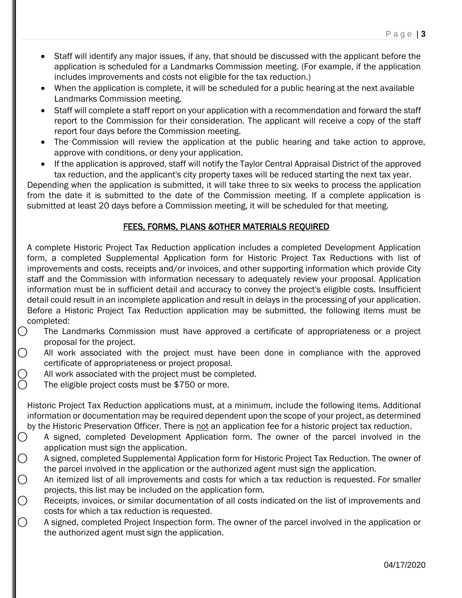- Staff will identify any major issues, if any, that should be discussed with the applicant before the application is scheduled for a Landmarks Commission meeting. (For example, if the application includes improvements and costs not eligible for the tax reduction.)
- When the application is complete, it will be scheduled for a public hearing at the next available Landmarks Commission meeting.
- Staff will complete a staff report on your application with a recommendation and forward the staff report to the Commission for their consideration. The applicant will receive a copy of the staff report four days before the Commission meeting.
- The Commission will review the application at the public hearing and take action to approve, approve with conditions, or deny your application.
- If the application is approved, staff will notify the Taylor Central Appraisal District of the approved tax reduction, and the applicant's city property taxes will be reduced starting the next tax year.

Depending when the application is submitted, it will take three to six weeks to process the application from the date it is submitted to the date of the Commission meeting. If a complete application is submitted at least 20 days before a Commission meeting, it will be scheduled for that meeting.

# FEES, FORMS, PLANS &OTHER MATERIALS REQUIRED

A complete Historic Project Tax Reduction application includes a completed Development Application form, a completed Supplemental Application form for Historic Project Tax Reductions with list of improvements and costs, receipts and/or invoices, and other supporting information which provide City staff and the Commission with information necessary to adequately review your proposal. Application information must be in sufficient detail and accuracy to convey the project's eligible costs. Insufficient detail could result in an incomplete application and result in delays in the processing of your application. Before a Historic Project Tax Reduction application may be submitted, the following items must be completed:

- ⃝ The Landmarks Commission must have approved a certificate of appropriateness or a project proposal for the project.
- $\bigcap$  All work associated with the project must have been done in compliance with the approved certificate of appropriateness or project proposal.
- $\bigcirc$  All work associated with the project must be completed.<br> $\bigcirc$  The eligible project costs must be \$750 or more.
	- The eligible project costs must be \$750 or more.

Historic Project Tax Reduction applications must, at a minimum, include the following items. Additional information or documentation may be required dependent upon the scope of your project, as determined by the Historic Preservation Officer. There is not an application fee for a historic project tax reduction.

- ⃝ A signed, completed Development Application form. The owner of the parcel involved in the application must sign the application.
- $\bigcirc$  A signed, completed Supplemental Application form for Historic Project Tax Reduction. The owner of the parcel involved in the application or the authorized agent must sign the application.
- $\bigcirc$  An itemized list of all improvements and costs for which a tax reduction is requested. For smaller projects, this list may be included on the application form.
- $\bigcirc$  Receipts, invoices, or similar documentation of all costs indicated on the list of improvements and costs for which a tax reduction is requested.
- ⃝ A signed, completed Project Inspection form. The owner of the parcel involved in the application or the authorized agent must sign the application.